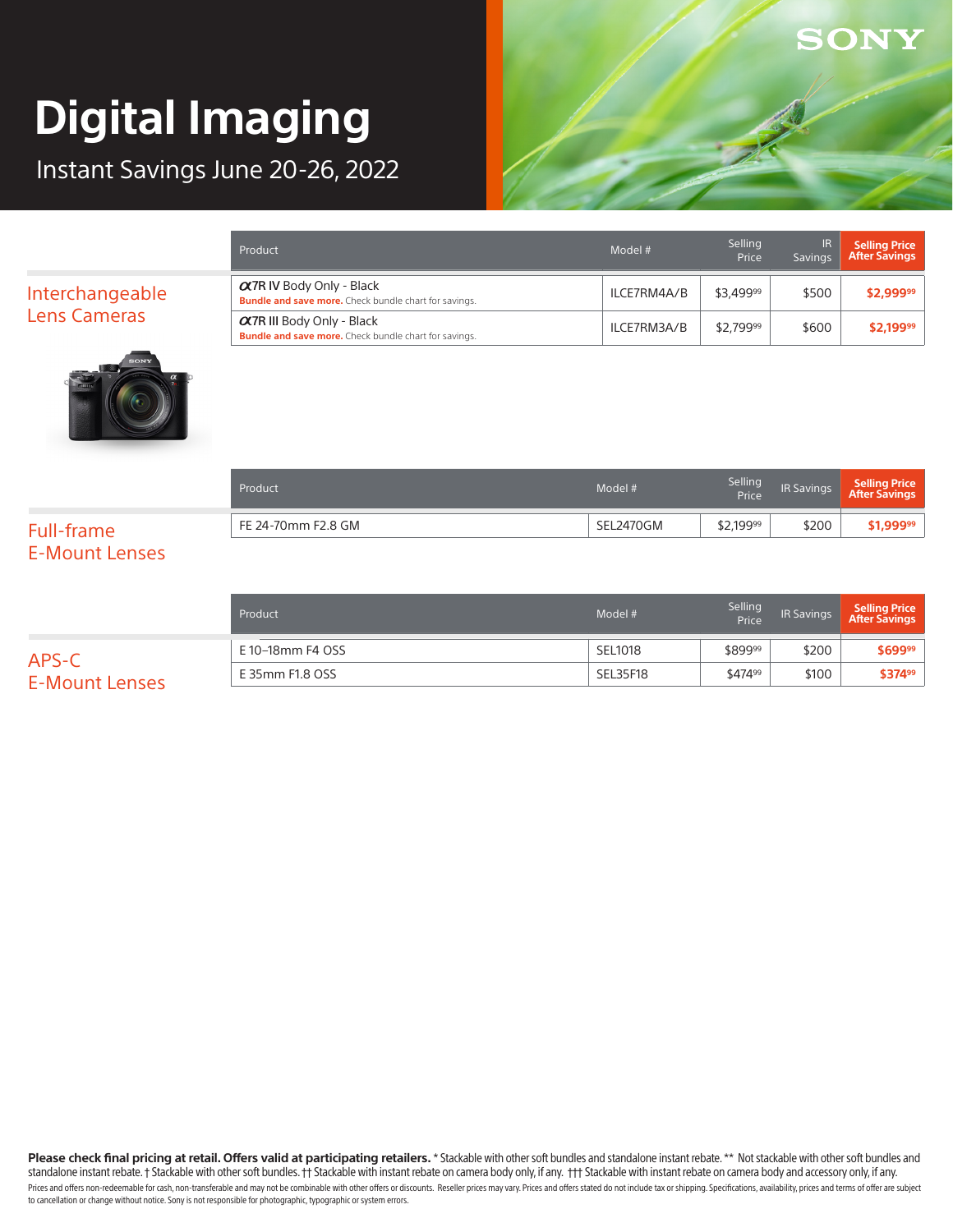Instant Savings June 20-26, 2022



| Product                                                                                           | Model #     | Selling<br>Price | IR<br>Savings | <b>Selling Price</b><br><b>After Savings</b> |
|---------------------------------------------------------------------------------------------------|-------------|------------------|---------------|----------------------------------------------|
| $\alpha$ 7R IV Body Only - Black<br><b>Bundle and save more.</b> Check bundle chart for savings.  | ILCE7RM4A/B | \$3,49999        | \$500         | \$2,99999                                    |
| $\alpha$ 7R III Body Only - Black<br><b>Bundle and save more.</b> Check bundle chart for savings. | ILCE7RM3A/B | \$2.79999        | \$600         | \$2,19999                                    |



| Product            | Model #   | Selling<br>Price | IR Savings | Selling Price<br>After Savings |
|--------------------|-----------|------------------|------------|--------------------------------|
| FE 24-70mm F2.8 GM | SEL2470GM | \$2,19999        | \$200      | \$1,99999                      |

### Full-frame E-Mount Lenses

Interchangeable Lens Cameras

|                                | Product          | Model #  | Selling<br>Price | <b>IR Savings</b> | Selling Price<br>  After Savings |
|--------------------------------|------------------|----------|------------------|-------------------|----------------------------------|
|                                | E 10–18mm F4 OSS | SEL1018  | \$89999          | \$200             | \$69999                          |
| APS-C<br><b>E-Mount Lenses</b> | E 35mm F1.8 OSS  | SEL35F18 | \$47499          | \$100             | \$37499                          |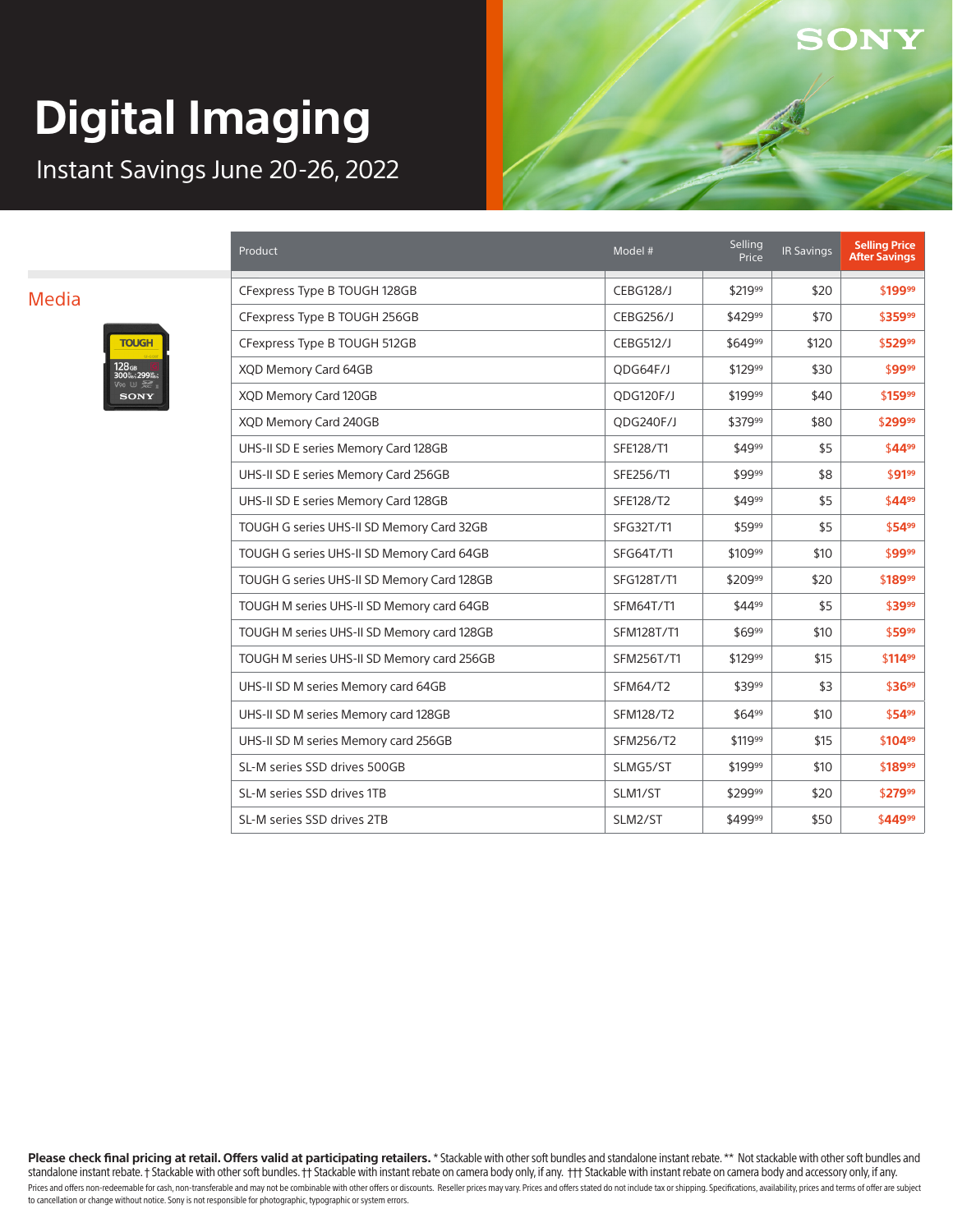Instant Savings June 20-26, 2022

#### Media



| Product                                    | Model #          | Selling<br>Price | <b>IR Savings</b> | <b>Selling Price</b><br><b>After Savings</b> |
|--------------------------------------------|------------------|------------------|-------------------|----------------------------------------------|
| CFexpress Type B TOUGH 128GB               | <b>CEBG128/J</b> | \$21999          | \$20              | \$19999                                      |
| CFexpress Type B TOUGH 256GB               | <b>CEBG256/J</b> | \$42999          | \$70              | \$35999                                      |
| CFexpress Type B TOUGH 512GB               | <b>CEBG512/J</b> | \$64999          | \$120             | \$52999                                      |
| XQD Memory Card 64GB                       | QDG64F/J         | \$12999          | \$30              | \$9999                                       |
| XQD Memory Card 120GB                      | QDG120F/J        | \$19999          | \$40              | \$15999                                      |
| XQD Memory Card 240GB                      | QDG240F/J        | \$37999          | \$80              | \$29999                                      |
| UHS-II SD E series Memory Card 128GB       | SFE128/T1        | \$4999           | \$5               | \$4499                                       |
| UHS-II SD E series Memory Card 256GB       | SFE256/T1        | \$9999           | \$8               | \$9199                                       |
| UHS-II SD E series Memory Card 128GB       | SFE128/T2        | \$4999           | \$5               | \$4499                                       |
| TOUGH G series UHS-II SD Memory Card 32GB  | SFG32T/T1        | \$5999           | \$5               | \$5499                                       |
| TOUGH G series UHS-II SD Memory Card 64GB  | SFG64T/T1        | \$10999          | \$10              | \$9999                                       |
| TOUGH G series UHS-II SD Memory Card 128GB | SFG128T/T1       | \$20999          | \$20              | \$18999                                      |
| TOUGH M series UHS-II SD Memory card 64GB  | <b>SFM64T/T1</b> | \$4499           | \$5               | \$3999                                       |
| TOUGH M series UHS-II SD Memory card 128GB | SFM128T/T1       | \$6999           | \$10              | \$5999                                       |
| TOUGH M series UHS-II SD Memory card 256GB | SFM256T/T1       | \$12999          | \$15              | \$11499                                      |
| UHS-II SD M series Memory card 64GB        | <b>SFM64/T2</b>  | \$3999           | \$3               | \$3699                                       |
| UHS-II SD M series Memory card 128GB       | SFM128/T2        | \$6499           | \$10              | \$5499                                       |
| UHS-II SD M series Memory card 256GB       | SFM256/T2        | \$11999          | \$15              | \$10499                                      |
| SL-M series SSD drives 500GB               | SLMG5/ST         | \$19999          | \$10              | \$18999                                      |
| SL-M series SSD drives 1TB                 | SLM1/ST          | \$29999          | \$20              | \$27999                                      |
| SL-M series SSD drives 2TB                 | SLM2/ST          | \$49999          | \$50              | \$44999                                      |

**SONY** 

Please check final pricing at retail. Offers valid at participating retailers. \* Stackable with other soft bundles and standalone instant rebate. \*\* Not stackable with other soft bundles and standalone instant rebate. † Stackable with other soft bundles. †† Stackable with instant rebate on camera body only, if any. †† Stackable with instant rebate on camera body and accessory only, if any. Prices and offers non-redeemable for cash, non-transferable and may not be combinable with other offers or discounts. Reseller prices may vary. Prices and offers stated do not include tax or shipping. Specifications, avail to cancellation or change without notice. Sony is not responsible for photographic, typographic or system errors.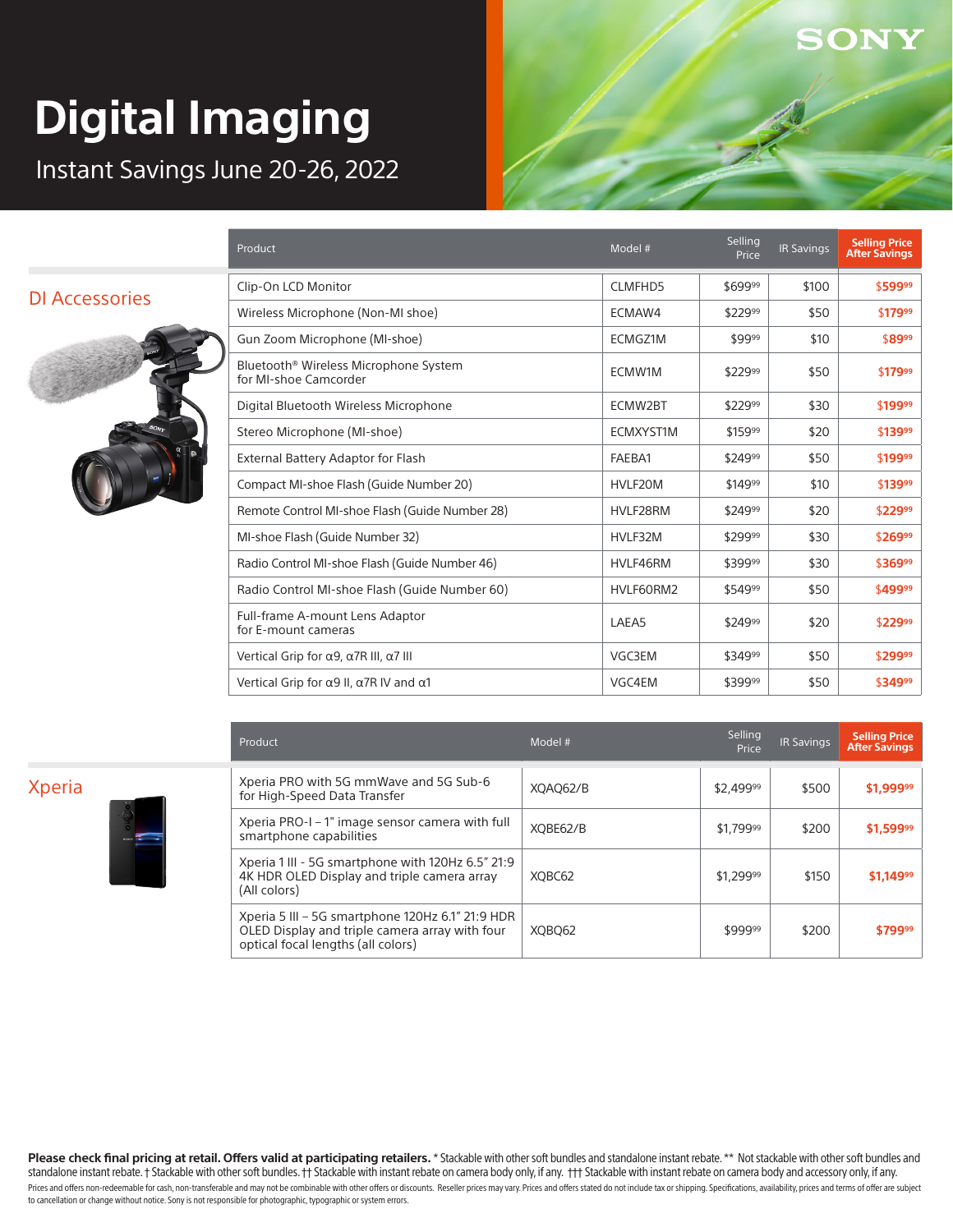Instant Savings June 20-26, 2022

#### DI Accessories



| Product                                                                    | Model #        | Selling<br>Price | <b>IR Savings</b> | <b>Selling Price</b><br><b>After Savings</b> |
|----------------------------------------------------------------------------|----------------|------------------|-------------------|----------------------------------------------|
| Clip-On LCD Monitor                                                        | <b>CLMFHD5</b> | \$69999          | \$100             | \$59999                                      |
| Wireless Microphone (Non-MI shoe)                                          | ECMAW4         | \$22999          | \$50              | \$17999                                      |
| Gun Zoom Microphone (MI-shoe)                                              | ECMGZ1M        | \$9999           | \$10              | \$8999                                       |
| Bluetooth <sup>®</sup> Wireless Microphone System<br>for MI-shoe Camcorder | ECMW1M         | \$22999          | \$50              | \$17999                                      |
| Digital Bluetooth Wireless Microphone                                      | ECMW2BT        | \$22999          | \$30              | \$19999                                      |
| Stereo Microphone (MI-shoe)                                                | ECMXYST1M      | \$15999          | \$20              | \$13999                                      |
| External Battery Adaptor for Flash                                         | FAEBA1         | \$24999          | \$50              | \$19999                                      |
| Compact MI-shoe Flash (Guide Number 20)                                    | HVLF20M        | \$14999          | \$10              | \$13999                                      |
| Remote Control MI-shoe Flash (Guide Number 28)                             | HVLF28RM       | \$24999          | \$20              | \$22999                                      |
| MI-shoe Flash (Guide Number 32)                                            | HVLF32M        | \$29999          | \$30              | \$26999                                      |
| Radio Control MI-shoe Flash (Guide Number 46)                              | HVLF46RM       | \$39999          | \$30              | \$36999                                      |
| Radio Control MI-shoe Flash (Guide Number 60)                              | HVLF60RM2      | \$54999          | \$50              | \$49999                                      |
| Full-frame A-mount Lens Adaptor<br>for E-mount cameras                     | LAEA5          | \$24999          | \$20              | \$22999                                      |
| Vertical Grip for $\alpha$ 9, $\alpha$ 7R III, $\alpha$ 7 III              | VGC3EM         | \$34999          | \$50              | \$29999                                      |
| Vertical Grip for $\alpha$ 9 II, $\alpha$ 7R IV and $\alpha$ 1             | VGC4EM         | \$39999          | \$50              | \$34999                                      |

ONY

Xperia



| Product                                                                                                                                  | Model #  | Selling<br>Price | <b>IR Savings</b> | <b>Selling Price</b><br><b>After Savings</b> |
|------------------------------------------------------------------------------------------------------------------------------------------|----------|------------------|-------------------|----------------------------------------------|
| Xperia PRO with 5G mmWave and 5G Sub-6                                                                                                   | XOAO62/B | \$2.49999        | \$500             | \$1,99999                                    |
| for High-Speed Data Transfer                                                                                                             |          |                  |                   |                                              |
| Xperia PRO-I – 1" image sensor camera with full<br>smartphone capabilities                                                               | XOBE62/B | \$1.79999        | \$200             | \$1,59999                                    |
| Xperia 1 III - 5G smartphone with 120Hz 6.5" 21:9<br>4K HDR OLED Display and triple camera array<br>(All colors)                         | XOBC62   | \$1.29999        | \$150             | \$1.14999                                    |
| Xperia 5 III – 5G smartphone 120Hz 6.1" 21:9 HDR<br>OLED Display and triple camera array with four<br>optical focal lengths (all colors) | XOBO62   | \$99999          | \$200             | \$79999                                      |

Please check final pricing at retail. Offers valid at participating retailers. \* Stackable with other soft bundles and standalone instant rebate. \*\* Not stackable with other soft bundles and standalone instant rebate. † Stackable with other soft bundles. †† Stackable with instant rebate on camera body only, if any. †† Stackable with instant rebate on camera body and accessory only, if any. Prices and offers non-redeemable for cash, non-transferable and may not be combinable with other offers or discounts. Reseller prices may vary. Prices and offers stated do not include tax or shipping. Specifications, avail to cancellation or change without notice. Sony is not responsible for photographic, typographic or system errors.